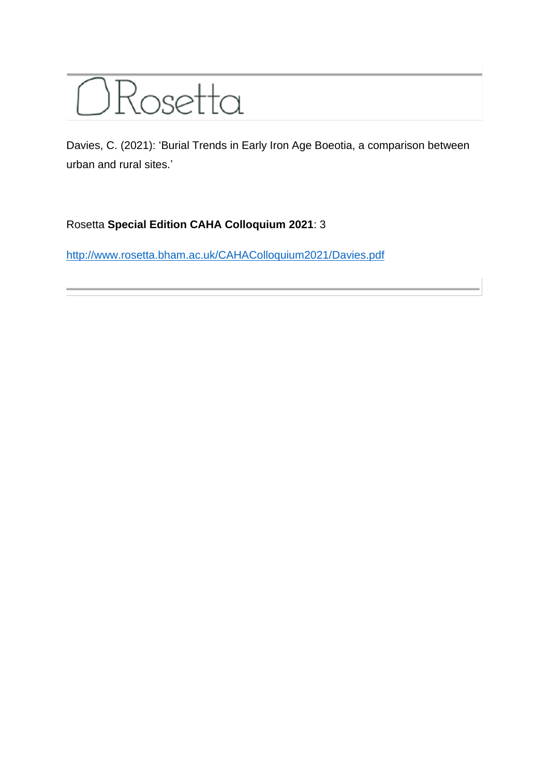## ORosetta

Davies, C. (2021): 'Burial Trends in Early Iron Age Boeotia, a comparison between urban and rural sites.'

## Rosetta **Special Edition CAHA Colloquium 2021**: 3

<http://www.rosetta.bham.ac.uk/CAHAColloquium2021/Davies.pdf>